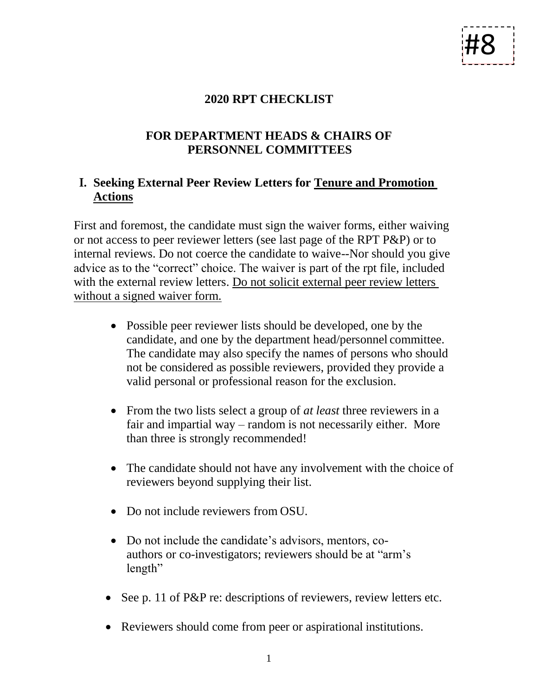# #8

### **2020 RPT CHECKLIST**

## **FOR DEPARTMENT HEADS & CHAIRS OF PERSONNEL COMMITTEES**

## **I. Seeking External Peer Review Letters for Tenure and Promotion Actions**

First and foremost, the candidate must sign the waiver forms, either waiving or not access to peer reviewer letters (see last page of the RPT P&P) or to internal reviews. Do not coerce the candidate to waive--Nor should you give advice as to the "correct" choice. The waiver is part of the rpt file, included with the external review letters. Do not solicit external peer review letters without a signed waiver form.

- Possible peer reviewer lists should be developed, one by the candidate, and one by the department head/personnel committee. The candidate may also specify the names of persons who should not be considered as possible reviewers, provided they provide a valid personal or professional reason for the exclusion.
- From the two lists select a group of *at least* three reviewers in a fair and impartial way – random is not necessarily either. More than three is strongly recommended!
- The candidate should not have any involvement with the choice of reviewers beyond supplying their list.
- Do not include reviewers from OSU.
- Do not include the candidate's advisors, mentors, coauthors or co-investigators; reviewers should be at "arm's length"
- See p. 11 of P&P re: descriptions of reviewers, review letters etc.
- Reviewers should come from peer or aspirational institutions.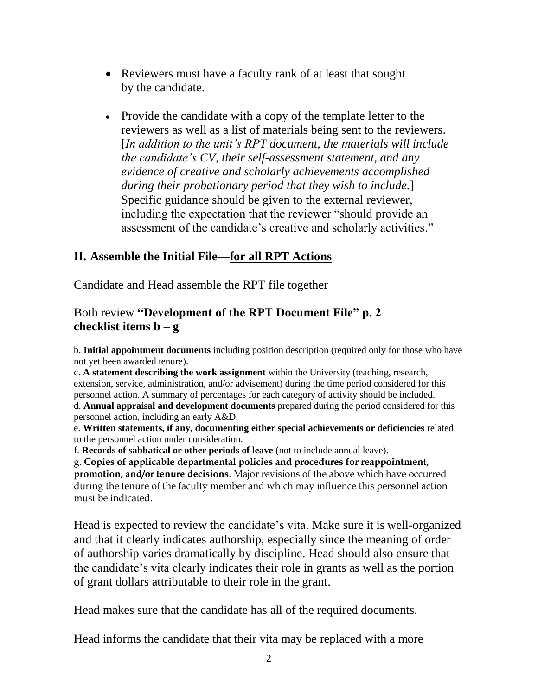- Reviewers must have a faculty rank of at least that sought by the candidate.
- Provide the candidate with a copy of the template letter to the reviewers as well as a list of materials being sent to the reviewers. [*In addition to the unit's RPT document, the materials will include the candidate's CV, their self-assessment statement, and any evidence of creative and scholarly achievements accomplished during their probationary period that they wish to include.*] Specific guidance should be given to the external reviewer, including the expectation that the reviewer "should provide an assessment of the candidate's creative and scholarly activities."

## **II. Assemble the Initial File—for all RPT Actions**

Candidate and Head assemble the RPT file together

#### Both review **"Development of the RPT Document File" p. 2 checklist items b – g**

b. **Initial appointment documents** including position description (required only for those who have not yet been awarded tenure).

c. **A statement describing the work assignment** within the University (teaching, research, extension, service, administration, and/or advisement) during the time period considered for this personnel action. A summary of percentages for each category of activity should be included. d. **Annual appraisal and development documents** prepared during the period considered for this personnel action, including an early A&D.

e. **Written statements, if any, documenting either special achievements or deficiencies** related to the personnel action under consideration.

f. **Records of sabbatical or other periods of leave** (not to include annual leave).

g. **Copies of applicable departmental policies and procedures for reappointment, promotion, and/or tenure decisions**. Major revisions of the above which have occurred during the tenure of the faculty member and which may influence this personnel action must be indicated.

Head is expected to review the candidate's vita. Make sure it is well-organized and that it clearly indicates authorship, especially since the meaning of order of authorship varies dramatically by discipline. Head should also ensure that the candidate's vita clearly indicates their role in grants as well as the portion of grant dollars attributable to their role in the grant.

Head makes sure that the candidate has all of the required documents.

Head informs the candidate that their vita may be replaced with a more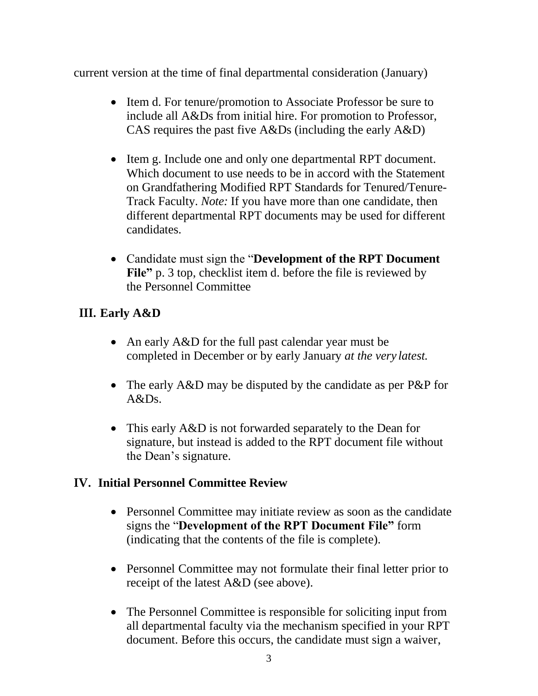current version at the time of final departmental consideration (January)

- Item d. For tenure/promotion to Associate Professor be sure to include all A&Ds from initial hire. For promotion to Professor, CAS requires the past five A&Ds (including the early A&D)
- Item g. Include one and only one departmental RPT document. Which document to use needs to be in accord with the Statement on Grandfathering Modified RPT Standards for Tenured/Tenure-Track Faculty. *Note:* If you have more than one candidate, then different departmental RPT documents may be used for different candidates.
- Candidate must sign the "**Development of the RPT Document**  File" p. 3 top, checklist item d. before the file is reviewed by the Personnel Committee

## **III. Early A&D**

- An early A&D for the full past calendar year must be completed in December or by early January *at the very latest.*
- The early A&D may be disputed by the candidate as per P&P for  $A&Ds$ .
- This early A&D is not forwarded separately to the Dean for signature, but instead is added to the RPT document file without the Dean's signature.

## **IV. Initial Personnel Committee Review**

- Personnel Committee may initiate review as soon as the candidate signs the "**Development of the RPT Document File"** form (indicating that the contents of the file is complete).
- Personnel Committee may not formulate their final letter prior to receipt of the latest A&D (see above).
- The Personnel Committee is responsible for soliciting input from all departmental faculty via the mechanism specified in your RPT document. Before this occurs, the candidate must sign a waiver,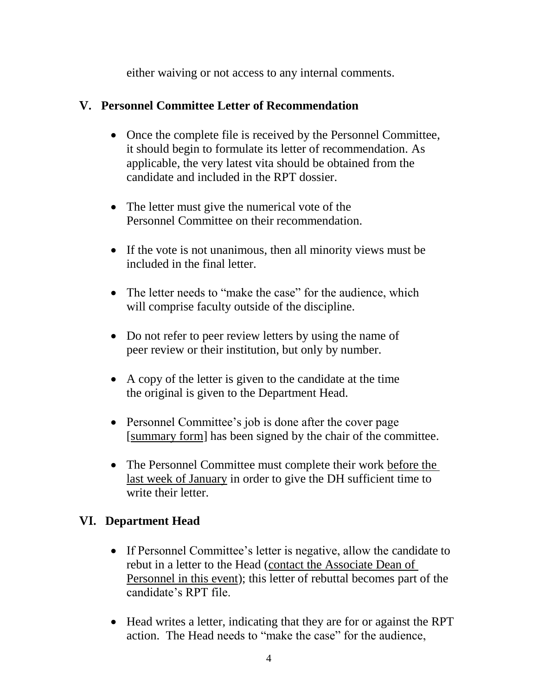either waiving or not access to any internal comments.

## **V. Personnel Committee Letter of Recommendation**

- Once the complete file is received by the Personnel Committee, it should begin to formulate its letter of recommendation. As applicable, the very latest vita should be obtained from the candidate and included in the RPT dossier.
- The letter must give the numerical vote of the Personnel Committee on their recommendation.
- If the vote is not unanimous, then all minority views must be included in the final letter.
- The letter needs to "make the case" for the audience, which will comprise faculty outside of the discipline.
- Do not refer to peer review letters by using the name of peer review or their institution, but only by number.
- A copy of the letter is given to the candidate at the time the original is given to the Department Head.
- Personnel Committee's job is done after the cover page [summary form] has been signed by the chair of the committee.
- The Personnel Committee must complete their work before the last week of January in order to give the DH sufficient time to write their letter.

## **VI. Department Head**

- If Personnel Committee's letter is negative, allow the candidate to rebut in a letter to the Head (contact the Associate Dean of Personnel in this event); this letter of rebuttal becomes part of the candidate's RPT file.
- Head writes a letter, indicating that they are for or against the RPT action. The Head needs to "make the case" for the audience,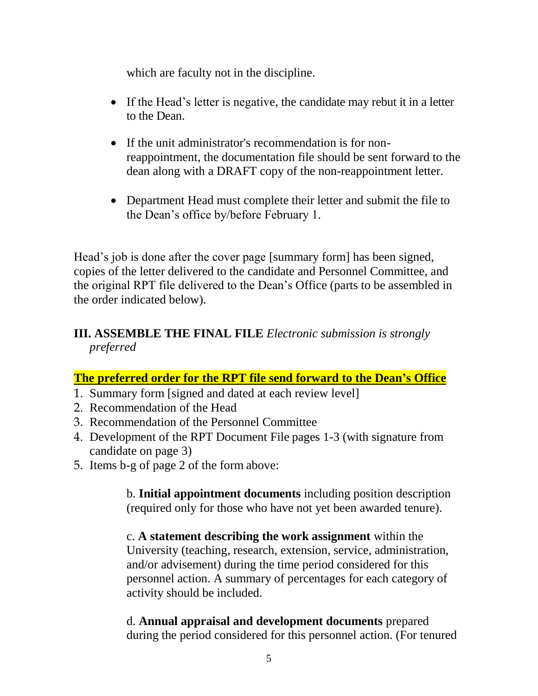which are faculty not in the discipline.

- If the Head's letter is negative, the candidate may rebut it in a letter to the Dean.
- If the unit administrator's recommendation is for nonreappointment, the documentation file should be sent forward to the dean along with a DRAFT copy of the non-reappointment letter.
- Department Head must complete their letter and submit the file to the Dean's office by/before February 1.

Head's job is done after the cover page [summary form] has been signed, copies of the letter delivered to the candidate and Personnel Committee, and the original RPT file delivered to the Dean's Office (parts to be assembled in the order indicated below).

## **III. ASSEMBLE THE FINAL FILE** *Electronic submission is strongly preferred*

#### **The preferred order for the RPT file send forward to the Dean's Office**

- 1. Summary form [signed and dated at each review level]
- 2. Recommendation of the Head
- 3. Recommendation of the Personnel Committee
- 4. Development of the RPT Document File pages 1-3 (with signature from candidate on page 3)
- 5. Items b-g of page 2 of the form above:

b. **Initial appointment documents** including position description (required only for those who have not yet been awarded tenure).

c. **A statement describing the work assignment** within the University (teaching, research, extension, service, administration, and/or advisement) during the time period considered for this personnel action. A summary of percentages for each category of activity should be included.

d. **Annual appraisal and development documents** prepared during the period considered for this personnel action. (For tenured